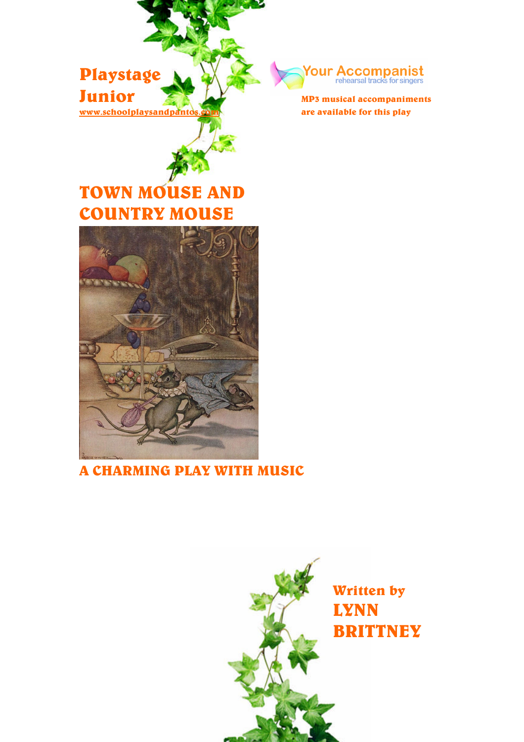



are available for this play

# TOWN MOUSE AND COUNTRY MOUSE



# A CHARMING PLAY WITH MUSIC

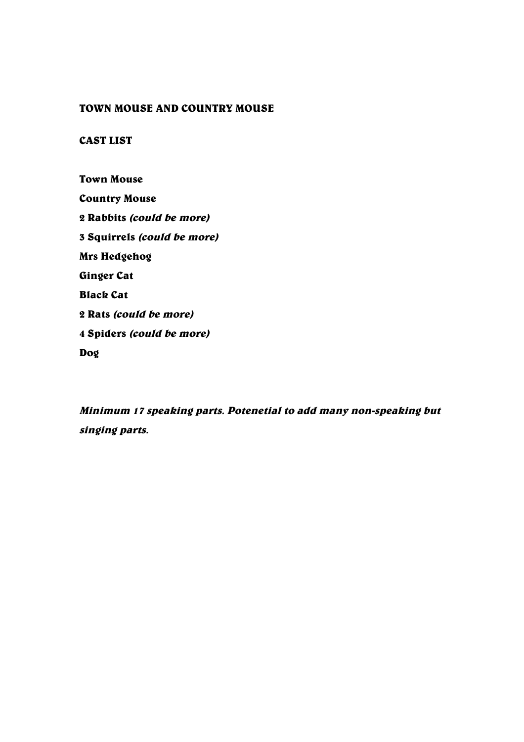### TOWN MOUSE AND COUNTRY MOUSE

# CAST LIST

Town Mouse Country Mouse 2 Rabbits (could be more) 3 Squirrels (could be more) Mrs Hedgehog Ginger Cat Black Cat 2 Rats (could be more) 4 Spiders (could be more)

Dog

Minimum <sup>17</sup> speaking parts. Potenetial to add many non-speaking but singing parts.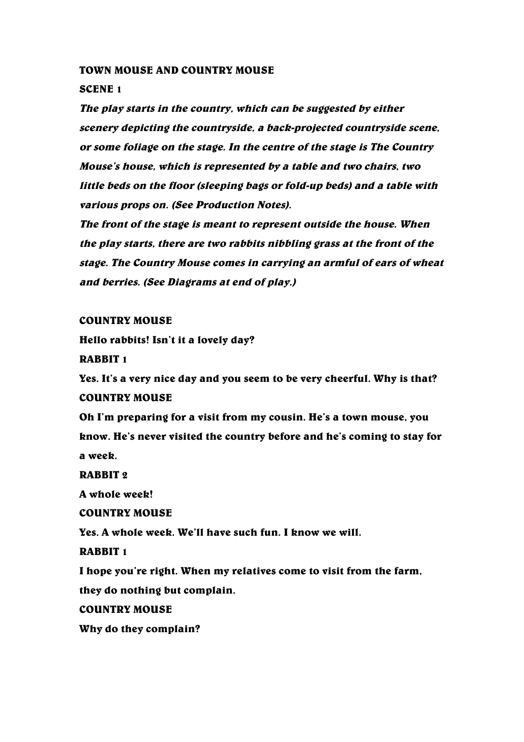#### TOWN MOUSE AND COUNTRY MOUSE

#### SCENE 1

The play starts in the country, which can be suggested by either scenery depicting the countryside, <sup>a</sup> back-projected countryside scene, or some foliage on the stage. In the centre of the stage is The Country Mouse's house, which is represented by <sup>a</sup> table and two chairs, two little beds on the floor (sleeping bags or fold-up beds) and <sup>a</sup> table with various props on. (See Production Notes).

The front of the stage is meant to represent outside the house. When the play starts, there are two rabbits nibbling grass at the front of the stage. The Country Mouse comes in carrying an armful of ears of wheat and berries. (See Diagrams at end of play.)

#### COUNTRY MOUSE

Hello rabbits! Isn't it a lovely day?

RABBIT 1

Yes. It's a very nice day and you seem to be very cheerful. Why is that? COUNTRY MOUSE

Oh I'm preparing for a visit from my cousin. He's a town mouse, you know. He's never visited the country before and he's coming to stay for a week.

RABBIT 2

A whole week!

COUNTRY MOUSE

Yes. A whole week. We'll have such fun. I know we will.

RABBIT 1

I hope you're right. When my relatives come to visit from the farm,

they do nothing but complain.

COUNTRY MOUSE

Why do they complain?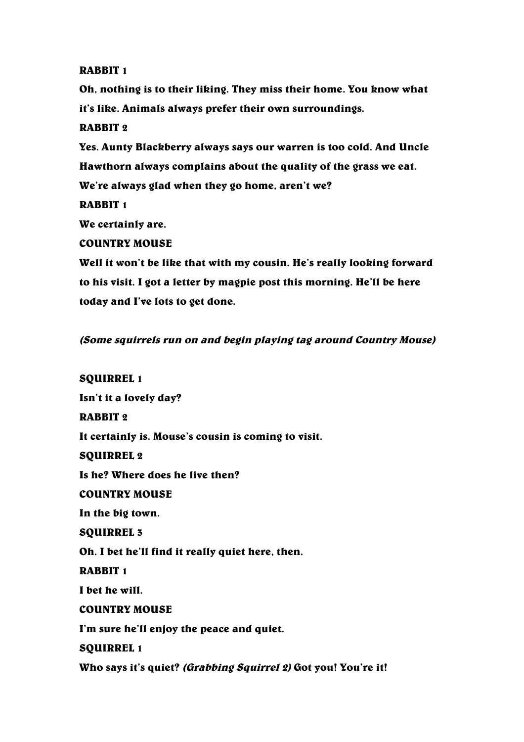# RABBIT 1

Oh, nothing is to their liking. They miss their home. You know what it's like. Animals always prefer their own surroundings.

# RABBIT 2

Yes. Aunty Blackberry always says our warren is too cold. And Uncle Hawthorn always complains about the quality of the grass we eat. We're always glad when they go home, aren't we?

RABBIT 1

We certainly are.

# COUNTRY MOUSE

Well it won't be like that with my cousin. He's really looking forward to his visit. I got a letter by magpie post this morning. He'll be here today and I've lots to get done.

# (Some squirrels run on and begin playing tag around Country Mouse)

SQUIRREL 1 Isn't it a lovely day? RABBIT 2 It certainly is. Mouse's cousin is coming to visit. SQUIRREL 2 Is he? Where does he live then? COUNTRY MOUSE In the big town. SQUIRREL 3 Oh. I bet he'll find it really quiet here, then. RABBIT 1 I bet he will. COUNTRY MOUSE I'm sure he'll enjoy the peace and quiet. SQUIRREL 1 Who says it's quiet? (Grabbing Squirrel 2) Got you! You're it!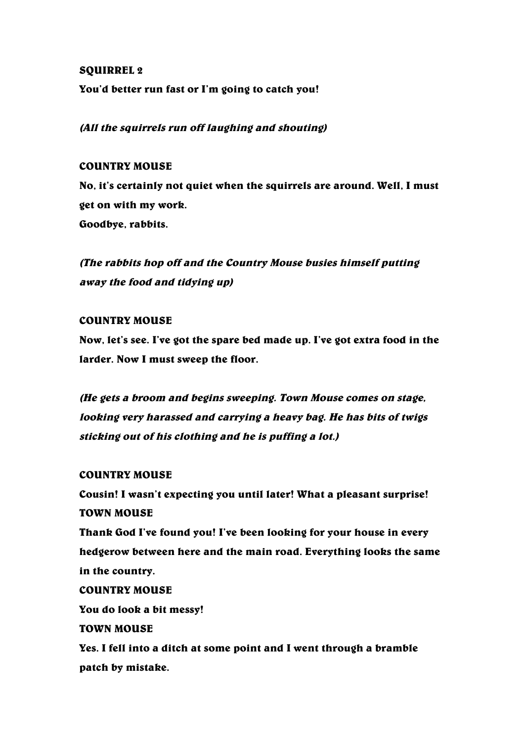### SQUIRREL 2

You'd better run fast or I'm going to catch you!

(All the squirrels run off laughing and shouting)

#### COUNTRY MOUSE

No, it's certainly not quiet when the squirrels are around. Well, I must get on with my work. Goodbye, rabbits.

(The rabbits hop off and the Country Mouse busies himself putting away the food and tidying up)

#### COUNTRY MOUSE

Now, let's see. I've got the spare bed made up. I've got extra food in the larder. Now I must sweep the floor.

(He gets <sup>a</sup> broom and begins sweeping. Town Mouse comes on stage, looking very harassed and carrying <sup>a</sup> heavy bag. He has bits of twigs sticking out of his clothing and he is puffing <sup>a</sup> lot.)

#### COUNTRY MOUSE

Cousin! I wasn't expecting you until later! What a pleasant surprise! TOWN MOUSE Thank God I've found you! I've been looking for your house in every hedgerow between here and the main road. Everything looks the same in the country. COUNTRY MOUSE You do look a bit messy! TOWN MOUSE

Yes. I fell into a ditch at some point and I went through a bramble patch by mistake.